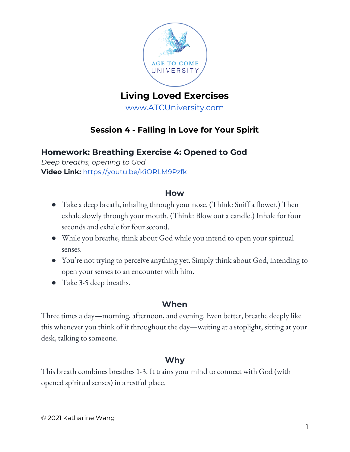

# **Living Loved Exercises**

[www.ATCUniversity.com](http://www.atcuniversity.com/)

## **Session 4 - Falling in Love for Your Spirit**

## **Homework: Breathing Exercise 4: Opened to God**

*Deep breaths, opening to God* **Video Link:** <https://youtu.be/KiORLM9Pzfk>

#### **How**

- Take a deep breath, inhaling through your nose. (Think: Sniff a flower.) Then exhale slowly through your mouth. (Think: Blow out a candle.) Inhale for four seconds and exhale for four second.
- While you breathe, think about God while you intend to open your spiritual senses.
- You're not trying to perceive anything yet. Simply think about God, intending to open your senses to an encounter with him.
- Take 3-5 deep breaths.

### **When**

Three times a day—morning, afternoon, and evening. Even better, breathe deeply like this whenever you think of it throughout the day—waiting at a stoplight, sitting at your desk, talking to someone.

## **Why**

This breath combines breathes 1-3. It trains your mind to connect with God (with opened spiritual senses) in a restful place.